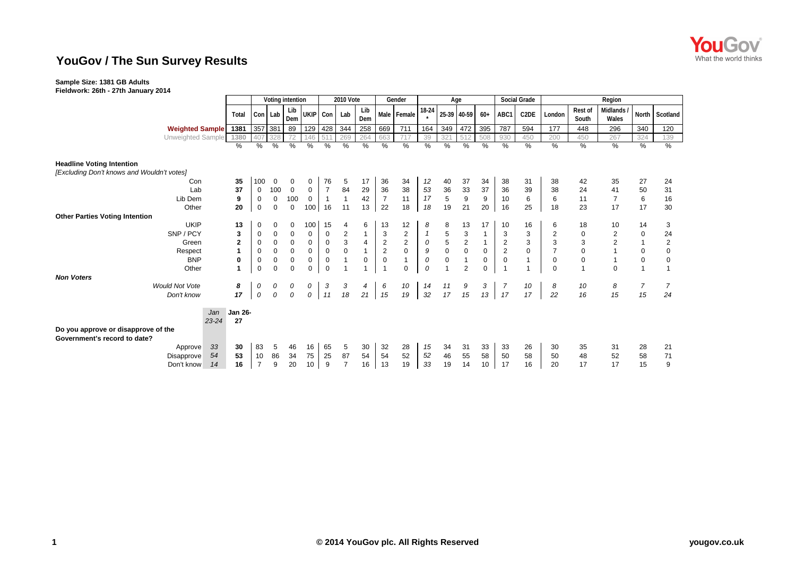

## **YouGov / The Sun Survey Results**

## **Sample Size: 1381 GB Adults**

**Fieldwork: 26th - 27th January 2014**

|                                                                     |                | 2010 Vote<br>Voting intention |                |                  |                  |                |                           | Gender       | Age            |                  |                       |                                       |                                        | Social Grade   | Region           |                   |                |                  |                         |                |                |
|---------------------------------------------------------------------|----------------|-------------------------------|----------------|------------------|------------------|----------------|---------------------------|--------------|----------------|------------------|-----------------------|---------------------------------------|----------------------------------------|----------------|------------------|-------------------|----------------|------------------|-------------------------|----------------|----------------|
|                                                                     | Total          | Con Lab                       |                | Lib<br>Dem       | UKIP Con         |                | Lab                       | Lib<br>Dem   |                | Male Female      | 18-24<br>$\mathbf{r}$ |                                       | 25-39 40-59                            | $60+$          | ABC1             | C <sub>2</sub> DE | London         | Rest of<br>South | Midlands<br>Wales       | North          | Scotland       |
| <b>Weighted Sample</b>                                              | 1381           | 357                           | 381            | 89               | 129              | 428            | 344                       | 258          | 669            | 711              | 164                   | 349                                   | 472                                    | 395            | 787              | 594               | 177            | 448              | 296                     | 340            | 120            |
| Unweighted Sample                                                   | 1380           | 407                           |                |                  | 46               | 511            | 269                       | 264          | 663            |                  | 39                    | 32                                    | $-51$                                  | 508            | 930              | 450               | 200            | 450              | 267                     | 324            | 139            |
|                                                                     | %              | %                             | %              | %                | %                | $\%$           | %                         | %            | $\%$           | $\%$             | $\%$                  | $\%$                                  | %                                      | $\%$           | %                | $\%$              | $\%$           | %                | $\frac{9}{6}$           | %              | %              |
| <b>Headline Voting Intention</b>                                    |                |                               |                |                  |                  |                |                           |              |                |                  |                       |                                       |                                        |                |                  |                   |                |                  |                         |                |                |
| [Excluding Don't knows and Wouldn't votes]                          |                |                               |                |                  |                  |                |                           |              |                |                  |                       |                                       |                                        |                |                  |                   |                |                  |                         |                |                |
| Con                                                                 | 35             | 100                           | $\mathbf 0$    | 0                | 0                | 76             | 5                         | 17           | 36             | 34               | 12                    | 40                                    | 37                                     | 34             | 38               | 31                | 38             | 42               | 35                      | 27             | 24             |
| Lab                                                                 | 37             | 0                             | 100            | $\boldsymbol{0}$ | 0                | $\overline{7}$ | 84                        | 29           | 36             | 38               | 53                    | 36                                    | 33                                     | 37             | 36               | 39                | 38             | 24               | 41                      | 50             | 31             |
| Lib Dem                                                             | 9              | $\mathbf 0$                   | 0              | 100              | $\mathbf{0}$     | $\overline{1}$ | $\overline{1}$            | 42           | $\overline{7}$ | 11               | 17                    | $\sqrt{5}$                            | $\boldsymbol{9}$                       | $9\,$          | 10               | 6                 | 6              | 11               | $\overline{7}$          | 6              | 16             |
| Other                                                               | 20             | $\mathbf 0$                   | $\mathbf 0$    | $\mathbf 0$      | 100 <sup>1</sup> | 16             | 11                        | 13           | 22             | 18               | 18                    | 19                                    | 21                                     | 20             | 16               | 25                | 18             | 23               | 17                      | 17             | 30             |
| <b>Other Parties Voting Intention</b>                               |                |                               |                |                  |                  |                |                           |              |                |                  |                       |                                       |                                        |                |                  |                   |                |                  |                         |                |                |
| <b>UKIP</b>                                                         | 13             | 0                             | 0              | 0                | 100              | 15             | 4                         | 6            | 13             | 12               | 8                     | 8                                     | 13                                     | 17             | 10               | 16                | 6              | 18               | 10                      | 14             | 3              |
| SNP / PCY                                                           | 3              | 0                             | $\pmb{0}$      | $\mathbf 0$      | 0                | $\mathbf 0$    | $\overline{c}$            | $\mathbf{1}$ | $\mathbf{3}$   | $\boldsymbol{2}$ |                       | $\,$ 5 $\,$                           | 3                                      | $\mathbf{1}$   | 3                | 3                 | $\overline{2}$ | 0                | $\overline{\mathbf{c}}$ | $\pmb{0}$      | 24             |
| Green                                                               | $\overline{2}$ | 0                             | $\mathbf 0$    | $\pmb{0}$        | 0                | $\pmb{0}$      | $\ensuremath{\mathsf{3}}$ | 4            | $\sqrt{2}$     | $\overline{c}$   | 0                     | $\begin{array}{c} 5 \\ 0 \end{array}$ | $\overline{\mathbf{c}}$                | $\overline{1}$ | $\overline{2}$   | 3                 | 3              | 3                | $\overline{c}$          | $\mathbf{1}$   | $\overline{c}$ |
| Respect                                                             | 1              | $\mathbf 0$                   | $\pmb{0}$      | $\pmb{0}$        | 0                | $\pmb{0}$      | $\mathsf 0$               |              | $\mathbf 2$    | $\mathbf 0$      | $\boldsymbol{9}$      |                                       | $\pmb{0}$                              | $\mathbf 0$    | $\boldsymbol{2}$ | $\mathbf 0$       |                | $\mathbf 0$      |                         | $\pmb{0}$      | $\mathbf 0$    |
| <b>BNP</b>                                                          | $\mathbf 0$    | $\mathbf 0$                   | $\pmb{0}$      | $\mathbf 0$      | 0                | $\mathbf 0$    | $\mathbf{1}$              | $\mathbf 0$  | $\mathbf 0$    | $\mathbf{1}$     | ${\cal O}$            | $\mathbf 0$                           |                                        | $\mathbf 0$    | $\mathbf 0$      | $\overline{1}$    | $\mathbf 0$    | $\pmb{0}$        | $\mathbf{1}$            | $\mathbf 0$    | $\mathbf 0$    |
| Other                                                               | 1              | $\mathbf 0$                   | $\overline{0}$ | $\mathbf 0$      | $\Omega$         | $\Omega$       | $\overline{1}$            |              | $\overline{1}$ | $\mathbf 0$      | $\mathcal{O}$         | $\overline{1}$                        | $\overline{2}$                         | $\mathbf 0$    |                  | $\overline{1}$    | $\Omega$       |                  | $\Omega$                | $\mathbf{1}$   |                |
| <b>Non Voters</b>                                                   |                |                               |                |                  |                  |                |                           |              |                |                  |                       |                                       |                                        |                |                  |                   |                |                  |                         |                |                |
| <b>Would Not Vote</b>                                               | 8              | 0                             | 0              | 0                | 0                | 3              | 3                         | 4            | 6              | 10               | 14                    | 11                                    | $\begin{array}{c} 9 \\ 15 \end{array}$ | $\mathbf{3}$   |                  | 10                | 8              | 10               | 8                       | $\overline{7}$ | 7              |
| Don't know                                                          | 17             | ${\cal O}$                    | $\it{O}$       | $\it{O}$         | $\overline{0}$   | 11             | 18                        | 21           | 15             | 19               | 32                    | 17                                    |                                        | 13             | 17               | 17                | 22             | 16               | 15                      | 15             | 24             |
| Jan<br>$23 - 24$                                                    | Jan 26-<br>27  |                               |                |                  |                  |                |                           |              |                |                  |                       |                                       |                                        |                |                  |                   |                |                  |                         |                |                |
| Do you approve or disapprove of the<br>Government's record to date? |                |                               |                |                  |                  |                |                           |              |                |                  |                       |                                       |                                        |                |                  |                   |                |                  |                         |                |                |
| 33<br>Approve                                                       | 30             | 83                            | 5              | 46               | 16               | 65             | 5                         | 30           | 32             | 28               | 15                    | 34                                    | 31                                     | 33             | 33               | 26                | 30             | 35               | 31                      | 28             | 21             |
| 54<br>Disapprove                                                    | 53             | 10                            | 86             | 34               | 75               | 25             | 87                        | 54           | 54             | 52               | 52                    | 46                                    | 55                                     | 58             | 50               | 58                | 50             | 48               | 52                      | 58             | 71             |
| 14<br>Don't know                                                    | 16             | $\overline{7}$                | $9\,$          | 20               | 10               | 9              | $\overline{7}$            | 16           | 13             | 19               | 33                    | 19                                    | 14                                     | 10             | 17               | 16                | 20             | 17               | 17                      | 15             | 9              |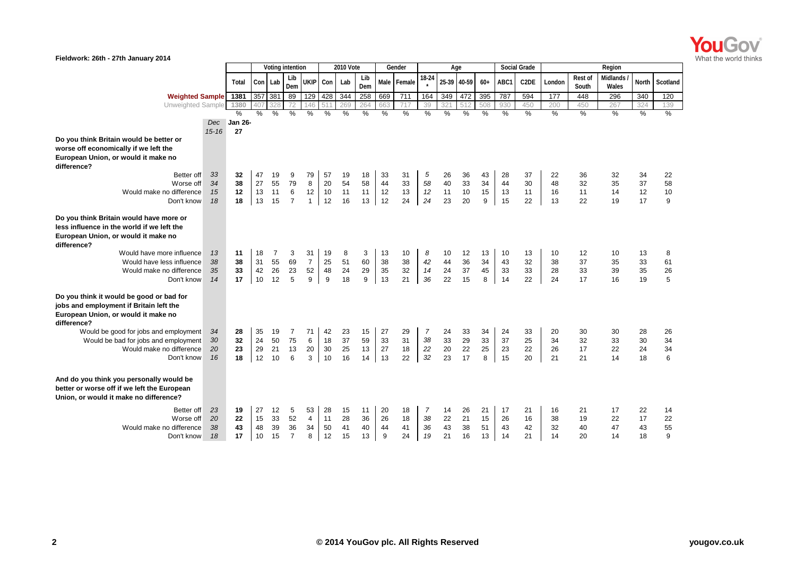

| Fieldwork: 26th - 27th January 2014                                                                                                                                                                   |                      |                      |                      |                      |                                 |                                 |                      |                      |                      |                      |                      |                                  |                      |                      |                      |                      |                      |                      |                      |                          |                      |                     |
|-------------------------------------------------------------------------------------------------------------------------------------------------------------------------------------------------------|----------------------|----------------------|----------------------|----------------------|---------------------------------|---------------------------------|----------------------|----------------------|----------------------|----------------------|----------------------|----------------------------------|----------------------|----------------------|----------------------|----------------------|----------------------|----------------------|----------------------|--------------------------|----------------------|---------------------|
|                                                                                                                                                                                                       |                      |                      |                      |                      | Voting intention                |                                 |                      | <b>2010 Vote</b>     |                      |                      | Gender               |                                  | Age                  |                      |                      |                      | <b>Social Grade</b>  |                      |                      | Region                   |                      |                     |
|                                                                                                                                                                                                       |                      | Total                | Con Lab              |                      | Lib<br>Dem                      | <b>UKIP</b>                     | Con                  | Lab                  | Lib<br>Dem           |                      | Male Female          | 18-24                            |                      | 25-39 40-59          | $60+$                | ABC1                 | C <sub>2</sub> DE    | London               | Rest of<br>South     | <b>Midlands</b><br>Wales | North                | Scotland            |
| Weighted Sample 1381                                                                                                                                                                                  |                      |                      | 357 381              |                      | 89                              | 129                             | 428                  | 344                  | 258                  | 669                  | 711                  | 164                              | 349                  | 472                  | 395                  | 787                  | 594                  | 177                  | 448                  | 296                      | 340                  | 120                 |
| Unweighted Sample                                                                                                                                                                                     |                      | 1380                 | 407                  | 328                  | 72                              | 146                             |                      | 269                  | 264                  | 663                  | 717                  | 39                               | 32                   | 51                   | 508                  | 930                  | 450                  | 200                  | 450                  | 267                      | 324                  | 139                 |
|                                                                                                                                                                                                       |                      | $\frac{0}{0}$        | $\frac{0}{2}$        | $\%$                 | $\frac{0}{2}$                   | $\frac{0}{2}$                   | %                    | $\frac{0}{0}$        | $\frac{0}{0}$        | $\frac{0}{2}$        | $\frac{0}{0}$        | %                                | %                    | %                    | %                    | %                    | %                    | $\frac{9}{6}$        | $\frac{0}{2}$        | $\frac{0}{0}$            | %                    | $\frac{0}{0}$       |
|                                                                                                                                                                                                       | <b>Dec</b>           | <b>Jan 26-</b>       |                      |                      |                                 |                                 |                      |                      |                      |                      |                      |                                  |                      |                      |                      |                      |                      |                      |                      |                          |                      |                     |
| Do you think Britain would be better or<br>worse off economically if we left the<br>European Union, or would it make no<br>difference?                                                                | $15 - 16$            | 27                   |                      |                      |                                 |                                 |                      |                      |                      |                      |                      |                                  |                      |                      |                      |                      |                      |                      |                      |                          |                      |                     |
| Better off<br>Worse off<br>Would make no difference<br>Don't know                                                                                                                                     | 33<br>34<br>15<br>18 | 32<br>38<br>12<br>18 | 47<br>27<br>13<br>13 | 19<br>55<br>11<br>15 | 9<br>79<br>6<br>$\overline{7}$  | 79<br>8<br>12<br>$\mathbf{1}$   | 57<br>20<br>10<br>12 | 19<br>54<br>11<br>16 | 18<br>58<br>11<br>13 | 33<br>44<br>12<br>12 | 31<br>33<br>13<br>24 | 5<br>58<br>12<br>24              | 26<br>40<br>11<br>23 | 36<br>33<br>10<br>20 | 43<br>34<br>15<br>9  | 28<br>44<br>13<br>15 | 37<br>30<br>11<br>22 | 22<br>48<br>16<br>13 | 36<br>32<br>11<br>22 | 32<br>35<br>14<br>19     | 34<br>37<br>12<br>17 | 22<br>58<br>10<br>9 |
| Do you think Britain would have more or<br>less influence in the world if we left the<br>European Union, or would it make no<br>difference?<br>Would have more influence<br>Would have less influence | 13<br>38             | 11<br>38             | 18<br>31             | 7<br>55              | 3<br>69                         | 31<br>$\overline{7}$            | 19<br>25             | 8<br>51              | 3<br>60              | 13<br>38             | 10<br>38             | 8<br>42                          | 10<br>44             | 12<br>36             | 13<br>34             | 10<br>43             | 13<br>32             | 10<br>38             | 12<br>37             | 10<br>35                 | 13<br>33             | 8<br>61             |
| Would make no difference<br>Don't know                                                                                                                                                                | 35<br>14             | 33<br>17             | 42<br>10             | 26<br>12             | 23<br>5                         | 52<br>9                         | 48<br>9              | 24<br>18             | 29<br>9              | 35<br>13             | 32<br>21             | 14<br>36                         | 24<br>22             | 37<br>15             | 45<br>8              | 33<br>14             | 33<br>22             | 28<br>24             | 33<br>17             | 39<br>16                 | 35<br>19             | 26<br>5             |
| Do you think it would be good or bad for<br>jobs and employment if Britain left the<br>European Union, or would it make no<br>difference?                                                             |                      |                      |                      |                      |                                 |                                 |                      |                      |                      |                      |                      |                                  |                      |                      |                      |                      |                      |                      |                      |                          |                      |                     |
| Would be good for jobs and employment<br>Would be bad for jobs and employment<br>Would make no difference<br>Don't know                                                                               | 34<br>30<br>20<br>16 | 28<br>32<br>23<br>18 | 35<br>24<br>29<br>12 | 19<br>50<br>21<br>10 | $\overline{7}$<br>75<br>13<br>6 | 71<br>6<br>20<br>3              | 42<br>18<br>30<br>10 | 23<br>37<br>25<br>16 | 15<br>59<br>13<br>14 | 27<br>33<br>27<br>13 | 29<br>31<br>18<br>22 | 7<br>38<br>22<br>32              | 24<br>33<br>20<br>23 | 33<br>29<br>22<br>17 | 34<br>33<br>25<br>8  | 24<br>37<br>23<br>15 | 33<br>25<br>22<br>20 | 20<br>34<br>26<br>21 | 30<br>32<br>17<br>21 | 30<br>33<br>22<br>14     | 28<br>30<br>24<br>18 | 26<br>34<br>34<br>6 |
| And do you think you personally would be<br>better or worse off if we left the European<br>Union, or would it make no difference?                                                                     |                      |                      |                      |                      |                                 |                                 |                      |                      |                      |                      |                      |                                  |                      |                      |                      |                      |                      |                      |                      |                          |                      |                     |
| Better off<br>Worse off<br>Would make no difference<br>Don't know                                                                                                                                     | 23<br>20<br>38<br>18 | 19<br>22<br>43<br>17 | 27<br>15<br>48<br>10 | 12<br>33<br>39<br>15 | 5<br>52<br>36<br>$\overline{7}$ | 53<br>$\overline{4}$<br>34<br>8 | 28<br>11<br>50<br>12 | 15<br>28<br>41<br>15 | 11<br>36<br>40<br>13 | 20<br>26<br>44<br>9  | 18<br>18<br>41<br>24 | $\overline{7}$<br>38<br>36<br>19 | 14<br>22<br>43<br>21 | 26<br>21<br>38<br>16 | 21<br>15<br>51<br>13 | 17<br>26<br>43<br>14 | 21<br>16<br>42<br>21 | 16<br>38<br>32<br>14 | 21<br>19<br>40<br>20 | 17<br>22<br>47<br>14     | 22<br>17<br>43<br>18 | 14<br>22<br>55<br>9 |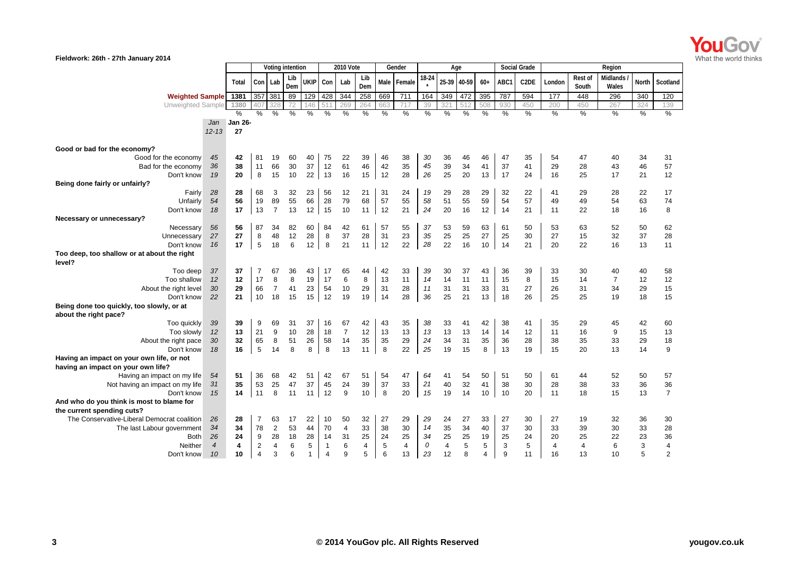

| Fieldwork: 26th - 27th January 2014                                |                |                |                  |                |            |                 |                  |                 |                |               |             |               |                |       |               |                     |                   |                |                         |                   |              |                |
|--------------------------------------------------------------------|----------------|----------------|------------------|----------------|------------|-----------------|------------------|-----------------|----------------|---------------|-------------|---------------|----------------|-------|---------------|---------------------|-------------------|----------------|-------------------------|-------------------|--------------|----------------|
|                                                                    |                |                | Voting intention |                |            |                 | <b>2010 Vote</b> |                 |                | Gender        |             |               | Age            |       |               | <b>Social Grade</b> |                   |                | Region                  |                   |              |                |
|                                                                    |                | Total          | Con Lab          |                | Lib<br>Dem | UKIP            | Con              | Lab             | Lib<br>Dem     |               | Male Female | 18-24         | 25-39          | 40-59 | $60+$         | ABC1                | C <sub>2</sub> DE | London         | <b>Rest of</b><br>South | Midlands<br>Wales | <b>North</b> | Scotland       |
| <b>Weighted Sample</b>                                             |                | 1381           | 357              | 381            | 89         | 129             | 428              | 344             | 258            | 669           | 711         | 164           | 349            | 472   | 395           | 787                 | 594               | 177            | 448                     | 296               | 340          | 120            |
| Unweighted Sample                                                  |                | 1380           | 407              | 328            | 72         | 146             | 51               | 269             | 264            | 663           | 717         | 39            | 32'            | 512   | 508           | 930                 | 450               | 200            | 450                     | 267               | 324          | 139            |
|                                                                    |                | %              | $\%$             | $\frac{0}{0}$  | %          | %               | $\%$             | %               | $\frac{0}{0}$  | $\frac{0}{0}$ | %           | $\frac{0}{0}$ | %              | %     | $\frac{0}{0}$ | %                   | %                 | $\frac{0}{0}$  | $\%$                    | $\frac{0}{2}$     | %            | %              |
|                                                                    | Jan            | <b>Jan 26-</b> |                  |                |            |                 |                  |                 |                |               |             |               |                |       |               |                     |                   |                |                         |                   |              |                |
|                                                                    | $12 - 13$      | 27             |                  |                |            |                 |                  |                 |                |               |             |               |                |       |               |                     |                   |                |                         |                   |              |                |
| Good or bad for the economy?                                       |                |                |                  |                |            |                 |                  |                 |                |               |             |               |                |       |               |                     |                   |                |                         |                   |              |                |
| Good for the economy                                               | 45             | 42             | 81               | 19             | 60         | 40              | 75               | 22              | 39             | 46            | 38          | 30            | 36             | 46    | 46            | 47                  | 35                | 54             | 47                      | 40                | 34           | 31             |
| Bad for the economy                                                | 36             | 38             | 11               | 66             | 30         | 37              | 12               | 61              | 46             | 42            | 35          | 45            | 39             | 34    | 41            | 37                  | 41                | 29             | 28                      | 43                | 46           | 57             |
| Don't know                                                         | 19             | 20             | 8                | 15             | 10         | 22              | 13               | 16              | 15             | 12            | 28          | 26            | 25             | 20    | 13            | 17                  | 24                | 16             | 25                      | 17                | 21           | 12             |
| Being done fairly or unfairly?                                     |                |                |                  |                |            |                 |                  |                 |                |               |             |               |                |       |               |                     |                   |                |                         |                   |              |                |
| Fairly                                                             | 28             | 28             | 68               | 3              | 32         | 23              | 56               | 12              | 21             | 31            | 24          | 19            | 29             | 28    | 29            | 32                  | 22                | 41             | 29                      | 28                | 22           | 17             |
| Unfairly                                                           | 54             | 56             | 19               | 89             | 55         | 66              | 28               | 79              | 68             | 57            | 55          | 58            | 51             | 55    | 59            | 54                  | 57                | 49             | 49                      | 54                | 63           | 74             |
| Don't know                                                         | 18             | 17             | 13               | $\overline{7}$ | 13         | 12              | 15               | 10              | 11             | 12            | 21          | 24            | 20             | 16    | 12            | 14                  | 21                | 11             | 22                      | 18                | 16           | 8              |
| Necessary or unnecessary?                                          |                |                |                  |                |            |                 |                  |                 |                |               |             |               |                |       |               |                     |                   |                |                         |                   |              |                |
| Necessary                                                          | 56             | 56             | 87               | 34             | 82         | 60              | 84               | 42              | 61             | 57            | 55          | 37            | 53             | 59    | 63            | 61                  | 50                | 53             | 63                      | 52                | 50           | 62             |
| Unnecessary                                                        | 27             | 27             | 8                | 48             | 12         | 28              | 8                | 37              | 28             | 31            | 23          | 35            | 25             | 25    | 27            | 25                  | 30                | 27             | 15                      | 32                | 37           | 28             |
| Don't know                                                         | 16             | 17             | 5                | 18             | 6          | 12 <sup>1</sup> | 8                | 21              | 11             | 12            | 22          | 28            | 22             | 16    | 10            | 14                  | 21                | 20             | 22                      | 16                | 13           | 11             |
| Too deep, too shallow or at about the right<br>level?              |                |                |                  |                |            |                 |                  |                 |                |               |             |               |                |       |               |                     |                   |                |                         |                   |              |                |
| Too deep                                                           | 37             | 37             | 7                | 67             | 36         | 43              | 17               | 65              | 44             | 42            | 33          | 39            | 30             | 37    | 43            | 36                  | 39                | 33             | 30                      | 40                | 40           | 58             |
| Too shallow                                                        | 12             | 12             | 17               | 8              | 8          | 19              | 17               | $6\phantom{1}6$ | 8              | 13            | 11          | 14            | 14             | 11    | 11            | 15                  | 8                 | 15             | 14                      | $\overline{7}$    | 12           | 12             |
| About the right level                                              | 30             | 29             | 66               | $\overline{7}$ | 41         | 23              | 54               | 10              | 29             | 31            | 28          | 11            | 31             | 31    | 33            | 31                  | 27                | 26             | 31                      | 34                | 29           | 15             |
| Don't know                                                         | 22             | 21             | 10               | 18             | 15         | 15              | 12               | 19              | 19             | 14            | 28          | 36            | 25             | 21    | 13            | 18                  | 26                | 25             | 25                      | 19                | 18           | 15             |
| Being done too quickly, too slowly, or at<br>about the right pace? |                |                |                  |                |            |                 |                  |                 |                |               |             |               |                |       |               |                     |                   |                |                         |                   |              |                |
| Too quickly                                                        | 39             | 39             | 9                | 69             | 31         | 37              | 16               | 67              | 42             | 43            | 35          | 38            | 33             | 41    | 42            | 38                  | 41                | 35             | 29                      | 45                | 42           | 60             |
| Too slowly                                                         | 12             | 13             | 21               | 9              | 10         | 28              | 18               | $\overline{7}$  | 12             | 13            | 13          | 13            | 13             | 13    | 14            | 14                  | 12                | 11             | 16                      | 9                 | 15           | 13             |
| About the right pace                                               | 30             | 32             | 65               | 8              | 51         | 26              | 58               | 14              | 35             | 35            | 29          | 24            | 34             | 31    | 35            | 36                  | 28                | 38             | 35                      | 33                | 29           | 18             |
| Don't know                                                         | 18             | 16             | 5                | 14             | 8          | 8               | 8                | 13              | 11             | 8             | 22          | 25            | 19             | 15    | 8             | 13                  | 19                | 15             | 20                      | 13                | 14           | 9              |
| Having an impact on your own life, or not                          |                |                |                  |                |            |                 |                  |                 |                |               |             |               |                |       |               |                     |                   |                |                         |                   |              |                |
| having an impact on your own life?                                 |                |                |                  |                |            |                 |                  |                 |                |               |             |               |                |       |               |                     |                   |                |                         |                   |              |                |
| Having an impact on my life                                        | 54             | 51             | 36               | 68             | 42         | 51              | 42               | 67              | 51             | 54            | 47          | 64            | 41             | 54    | 50            | 51                  | 50                | 61             | 44                      | 52                | 50           | 57             |
| Not having an impact on my life                                    | 31             | 35             | 53               | 25             | 47         | 37              | 45               | 24              | 39             | 37            | 33          | 21            | 40             | 32    | 41            | 38                  | 30                | 28             | 38                      | 33                | 36           | 36             |
| Don't know                                                         | 15             | 14             | 11               | 8              | 11         | 11              | 12               | 9               | 10             | 8             | 20          | 15            | 19             | 14    | 10            | 10                  | 20                | 11             | 18                      | 15                | 13           | $\overline{7}$ |
| And who do you think is most to blame for                          |                |                |                  |                |            |                 |                  |                 |                |               |             |               |                |       |               |                     |                   |                |                         |                   |              |                |
| the current spending cuts?                                         |                |                |                  |                |            |                 |                  |                 |                |               |             |               |                |       |               |                     |                   |                |                         |                   |              |                |
| The Conservative-Liberal Democrat coalition                        | 26             | 28             | $\overline{7}$   | 63             | 17         | 22              | 10               | 50              | 32             | 27            | 29          | 29            | 24             | 27    | 33            | 27                  | 30                | 27             | 19                      | 32                | 36           | 30             |
| The last Labour government                                         | 34             | 34             | 78               | $\overline{c}$ | 53         | 44              | 70               | $\overline{4}$  | 33             | 38            | 30          | 14            | 35             | 34    | 40            | 37                  | 30                | 33             | 39                      | 30                | 33           | 28             |
| Both                                                               | 26             | 24             | 9                | 28             | 18         | 28              | 14               | 31              | 25             | 24            | 25          | 34            | 25             | 25    | 19            | 25                  | 24                | 20             | 25                      | 22                | 23           | 36             |
| Neither                                                            | $\overline{4}$ | 4              | $\overline{2}$   | 4              | 6          | 5               | -1               | 6               | $\overline{4}$ | $\sqrt{5}$    | 4           | 0             | $\overline{4}$ | 5     | 5             | 3                   | 5                 | $\overline{4}$ | 4                       | 6                 | 3            | $\overline{4}$ |
| Don't know                                                         | 10             | 10             | 4                | 3              | 6          | $\mathbf{1}$    | $\overline{4}$   | 9               | 5              | 6             | 13          | 23            | 12             | 8     | 4             | 9                   | 11                | 16             | 13                      | 10                | 5            | $\overline{2}$ |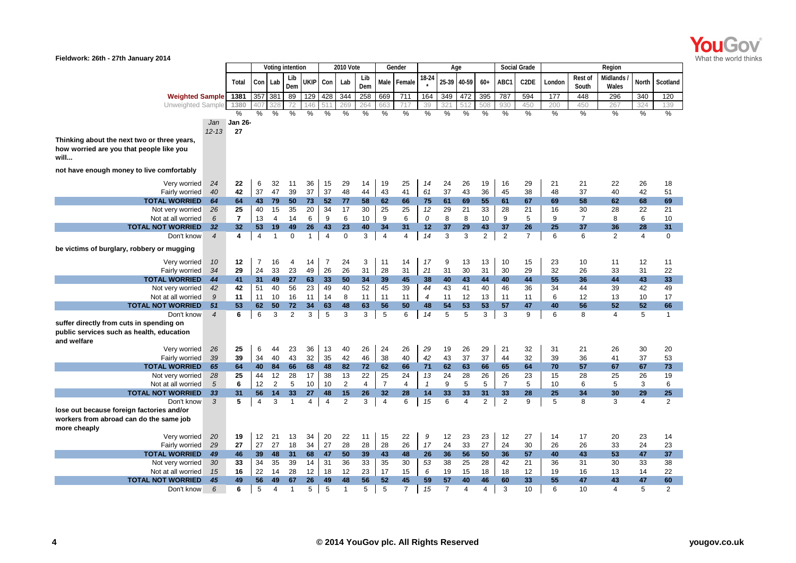

| Fieldwork: 26th - 27th January 2014         |                          |                |                |                |                  |                |                  |                  |                |                  |                |              |                |                |                |                  |                     |          |                         |                   |                |                |
|---------------------------------------------|--------------------------|----------------|----------------|----------------|------------------|----------------|------------------|------------------|----------------|------------------|----------------|--------------|----------------|----------------|----------------|------------------|---------------------|----------|-------------------------|-------------------|----------------|----------------|
|                                             |                          |                |                |                | Voting intention |                |                  | <b>2010 Vote</b> |                |                  | Gender         |              |                | Age            |                |                  | <b>Social Grade</b> |          |                         | Region            |                |                |
|                                             |                          | Total          |                | Con Lab        | Lib<br>Dem       | ukipi          | Con              | Lab              | Lib<br>Dem     | Male             | Female         | 18-24        |                | 25-39 40-59    | $60+$          | ABC1             | C <sub>2</sub> DE   | London   | <b>Rest of</b><br>South | Midlands<br>Wales | <b>North</b>   | Scotland       |
| <b>Weighted Sample</b>                      |                          | 1381           |                | 357 381        | 89               | 129            | 428              | 344              | 258            | 669              | 711            | 164          | 349            | 472            | 395            | 787              | 594                 | 177      | 448                     | 296               | 340            | 120            |
| Unweighted Sample                           |                          | 1380           | 40             | 328            | 72               | 146            |                  | 269              | 264            | 663              | 717            | 39           | 32'            | 512            | 508            | 930              | 450                 | 200      | 450                     | 267               | 324            | 139            |
|                                             |                          | $\frac{0}{0}$  | %              | $\%$           | $\%$             | %              | %                | %                | %              | $\%$             | %              | $\%$         | %              | %              | %              | %                | %                   | %        | %                       | %                 | $\%$           | %              |
|                                             | Jan                      | <b>Jan 26-</b> |                |                |                  |                |                  |                  |                |                  |                |              |                |                |                |                  |                     |          |                         |                   |                |                |
|                                             | $12 - 13$                | 27             |                |                |                  |                |                  |                  |                |                  |                |              |                |                |                |                  |                     |          |                         |                   |                |                |
| Thinking about the next two or three years, |                          |                |                |                |                  |                |                  |                  |                |                  |                |              |                |                |                |                  |                     |          |                         |                   |                |                |
| how worried are you that people like you    |                          |                |                |                |                  |                |                  |                  |                |                  |                |              |                |                |                |                  |                     |          |                         |                   |                |                |
| will                                        |                          |                |                |                |                  |                |                  |                  |                |                  |                |              |                |                |                |                  |                     |          |                         |                   |                |                |
| not have enough money to live comfortably   |                          |                |                |                |                  |                |                  |                  |                |                  |                |              |                |                |                |                  |                     |          |                         |                   |                |                |
| Very worried                                | 24                       | 22             | 6              | 32             | 11               | 36             | 15               | 29               | 14             | 19               | 25             | 14           | 24             | 26             | 19             | 16               | 29                  | 21       | 21                      | 22                | 26             | 18             |
| Fairly worried                              | 40                       | 42             | 37             | 47             | 39               | 37             | 37               | 48               | 44             | 43               | 41             | 61           | 37             | 43             | 36             | 45               | 38                  | 48       | 37                      | 40                | 42             | 51             |
| <b>TOTAL WORRIED</b>                        | 64                       | 64             | 43             | 79             | 50               | 73             | 52               | 77               | 58             | 62               | 66             | 75           | 61             | 69             | 55             | 61               | 67                  | 69       | 58                      | 62                | 68             | 69             |
| Not very worried                            | 26                       | 25             | 40             | 15             | 35               | 20             | 34               | 17               | 30             | 25               | 25             | 12           | 29             | 21             | 33             | 28               | 21                  | 16       | 30                      | 28                | 22             | 21             |
| Not at all worried                          | 6                        | $\overline{7}$ | 13             | $\overline{4}$ | 14               | 6              | $\boldsymbol{9}$ | $\,6\,$          | 10             | $\boldsymbol{9}$ | 6              | 0            | 8              | 8              | 10             | $\boldsymbol{9}$ | 5                   | 9        | $\overline{7}$          | 8                 | 6              | 10             |
| <b>TOTAL NOT WORRIED</b>                    | 32                       | 32             | 53             | 19             | 49               | 26             | 43               | 23               | 40             | 34               | 31             | 12           | 37             | 29             | 43             | 37               | 26                  | 25       | 37                      | 36                | 28             | 31             |
| Don't know                                  | $\overline{4}$           | 4              | $\overline{4}$ | $\mathbf{1}$   | $\mathbf 0$      | $\mathbf{1}$   | $\overline{4}$   | $\mathbf 0$      | 3              | $\overline{4}$   | $\overline{4}$ | 14           | 3              | 3              | $\overline{2}$ | $\overline{2}$   | $\overline{7}$      | 6        | 6                       | $\overline{2}$    | $\overline{4}$ | 0              |
| be victims of burglary, robbery or mugging  |                          |                |                |                |                  |                |                  |                  |                |                  |                |              |                |                |                |                  |                     |          |                         |                   |                |                |
| Very worried                                | 10                       | 12             | $\overline{7}$ | 16             | 4                | 14             | $\overline{7}$   | 24               | 3              | 11               | 14             | 17           | 9              | 13             | 13             | 10               | 15                  | 23       | 10                      | 11                | 12             | 11             |
| Fairly worried                              | 34                       | 29             | 24             | 33             | 23               | 49             | 26               | 26               | 31             | 28               | 31             | 21           | 31             | 30             | 31             | 30               | 29                  | 32       | 26                      | 33                | 31             | 22             |
| <b>TOTAL WORRIED</b>                        | 44                       | 41             | 31             | 49             | 27               | 63             | 33               | 50               | 34             | 39               | 45             | 38           | 40             | 43             | 44             | 40               | 44                  | 55       | 36                      | 44                | 43             | 33             |
| Not very worried                            | 42                       | 42             | 51             | 40             | 56               | 23             | 49               | 40               | 52             | 45               | 39             | 44           | 43             | 41             | 40             | 46               | 36                  | 34       | 44                      | 39                | 42             | 49             |
| Not at all worried                          | 9                        | 11             | 11             | 10             | 16               | 11             | 14               | 8                | 11             | 11               | 11             | 4            | 11             | 12             | 13             | 11               | 11                  | 6        | 12                      | 13                | 10             | 17             |
| <b>TOTAL NOT WORRIED</b>                    | 51                       | 53             | 62             | 50             | 72               | 34             | 63               | 48               | 63             | 56               | 50             | 48           | 54             | 53             | 53             | 57               | 47                  | 40       | 56                      | 52                | 52             | 66             |
| Don't know                                  | $\overline{\mathcal{A}}$ | 6              | 6              | 3              | 2                | 3              | 5                | 3                | 3              | 5                | 6              | 14           | 5              | 5              | 3              | 3                | 9                   | 6        | 8                       | $\overline{4}$    | 5              | $\mathbf{1}$   |
| suffer directly from cuts in spending on    |                          |                |                |                |                  |                |                  |                  |                |                  |                |              |                |                |                |                  |                     |          |                         |                   |                |                |
| public services such as health, education   |                          |                |                |                |                  |                |                  |                  |                |                  |                |              |                |                |                |                  |                     |          |                         |                   |                |                |
| and welfare                                 |                          |                |                |                |                  |                |                  |                  |                |                  |                |              |                |                |                |                  |                     |          |                         |                   |                |                |
| Very worried                                | 26                       | 25             | 6              | 44             | 23               | 36             | 13               | 40               | 26             | 24               | 26             | 29           | 19             | 26             | 29             | 21               | 32                  | 31       | 21                      | 26                | 30             | 20             |
| Fairly worried                              | 39                       | 39             | 34             | 40             | 43               | 32             | 35               | 42               | 46             | 38               | 40             | 42           | 43             | 37             | 37             | 44               | 32                  | 39       | 36                      | 41                | 37             | 53             |
| <b>TOTAL WORRIED</b>                        | 65                       | 64             | 40             | 84             | 66               | 68             | 48               | 82               | 72             | 62               | 66             | 71           | 62             | 63             | 66             | 65               | 64                  | 70       | 57                      | 67                | 67             | 73             |
| Not very worried                            | 28                       | 25             | 44             | 12             | 28               | 17             | 38               | 13               | 22             | 25               | 24             | 13           | 24             | 28             | 26             | 26               | 23                  | 15       | 28                      | 25                | 26             | 19             |
| Not at all worried                          | 5                        | 6              | 12             | $\overline{2}$ | 5                | 10             | 10               | $\overline{2}$   | $\overline{4}$ | $\overline{7}$   | 4              | $\mathbf{1}$ | 9              | 5              | 5              | $\overline{7}$   | 5                   | 10       | 6                       | 5                 | 3              | 6              |
| <b>TOTAL NOT WORRIED</b>                    | 33                       | 31             | 56             | 14             | 33               | 27             | 48               | 15               | 26             | 32               | 28             | 14           | 33             | 33             | 31             | 33               | 28                  | 25       | 34                      | 30                | 29             | 25             |
| Don't know                                  | 3                        | 5              | $\overline{4}$ | 3              | $\overline{1}$   | $\overline{4}$ | $\overline{4}$   | $\overline{2}$   | 3              | $\overline{4}$   | 6              | 15           | 6              | $\overline{4}$ | $\overline{2}$ | $\overline{2}$   | 9                   | 5        | 8                       | 3                 | $\overline{4}$ | $\overline{2}$ |
| lose out because foreign factories and/or   |                          |                |                |                |                  |                |                  |                  |                |                  |                |              |                |                |                |                  |                     |          |                         |                   |                |                |
| workers from abroad can do the same job     |                          |                |                |                |                  |                |                  |                  |                |                  |                |              |                |                |                |                  |                     |          |                         |                   |                |                |
| more cheaply                                |                          |                | 12             |                |                  | 34             | 20               |                  |                |                  |                | 9            |                |                |                |                  |                     |          |                         |                   |                |                |
| Very worried<br>Fairly worried              | 20<br>29                 | 19<br>27       | 27             | 21<br>27       | 13<br>18         | 34             | 27               | 22<br>28         | 11<br>28       | 15<br>28         | 22<br>26       | 17           | 12<br>24       | 23<br>33       | 23<br>27       | 12<br>24         | 27<br>30            | 14<br>26 | 17<br>26                | 20<br>33          | 23<br>24       | 14<br>23       |
| <b>TOTAL WORRIED</b>                        | 49                       | 46             | 39             | 48             | 31               | 68             | 47               | 50               | 39             | 43               | 48             | 26           | 36             | 56             | 50             | 36               | 57                  | 40       | 43                      | 53                | 47             | 37             |
| Not very worried                            | 30                       | 33             | 34             | 35             | 39               | 14             | 31               | 36               | 33             | 35               | 30             | 53           | 38             | 25             | 28             | 42               | 21                  | 36       | 31                      | 30                | 33             | 38             |
| Not at all worried                          | 15                       | 16             | 22             | 14             | 28               | 12             | 18               | 12               | 23             | 17               | 15             | 6            | 19             | 15             | 18             | 18               | 12                  | 19       | 16                      | 13                | 14             | 22             |
| <b>TOTAL NOT WORRIED</b>                    | 45                       | 49             | 56             | 49             | 67               | 26             | 49               | 48               | 56             | 52               | 45             | 59           | 57             | 40             | 46             | 60               | 33                  | 55       | 47                      | 43                | 47             | 60             |
| Don't know                                  | 6                        | 6              | 5              | 4              | $\mathbf 1$      | 5              | 5                | $\mathbf 1$      | 5              | 5                | $\overline{7}$ | 15           | $\overline{7}$ | 4              | 4              | 3                | 10                  | 6        | 10                      | 4                 | 5              | 2              |
|                                             |                          |                |                |                |                  |                |                  |                  |                |                  |                |              |                |                |                |                  |                     |          |                         |                   |                |                |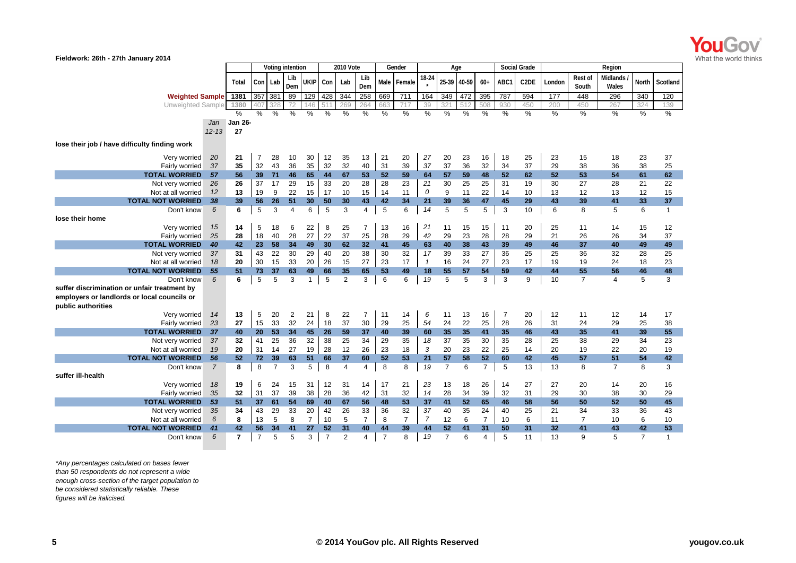

| Fieldwork: 26th - 27th January 2014                               |                |                |                |                |                  |                |                |                      |                |                |                |                |                |             |                |         |                     |                 |                         |                   |                |                |
|-------------------------------------------------------------------|----------------|----------------|----------------|----------------|------------------|----------------|----------------|----------------------|----------------|----------------|----------------|----------------|----------------|-------------|----------------|---------|---------------------|-----------------|-------------------------|-------------------|----------------|----------------|
|                                                                   |                |                |                |                | Voting intention |                |                | <b>2010 Vote</b>     |                |                | Gender         |                | Age            |             |                |         | <b>Social Grade</b> |                 | Region                  |                   |                |                |
|                                                                   |                | Total          |                | Con Lab        | Lib<br>Dem       | UKIP Con       |                | Lab                  | Lib<br>Dem     |                | Male Female    | 18-24          |                | 25-39 40-59 | $60+$          | ABC1    | C <sub>2</sub> DE   | London          | <b>Rest of</b><br>South | Midlands<br>Wales | <b>North</b>   | Scotland       |
| <b>Weighted Sample</b>                                            |                | 1381           | 357            | 381            | 89               | 129            | 428            | 344                  | 258            | 669            | 711            | 164            | 349            | 472         | 395            | 787     | 594                 | 177             | 448                     | 296               | 340            | 120            |
| Unweighted Sample                                                 |                | 1380           | 407            | 328            | 72               | 146            | 51             | 269                  | 264            | 663            | 717            | 39             | 32             | 512         | 508            | 930     | 450                 | 200             | 450                     | 267               | 324            | 139            |
|                                                                   |                | $\%$           | %              | %              | %                | $\%$           | %              | %                    | %              | %              | %              | %              | %              | %           | $\%$           | %       | %                   | %               | $\frac{0}{0}$           | $\frac{1}{2}$     | %              | %              |
|                                                                   | Jan            | <b>Jan 26-</b> |                |                |                  |                |                |                      |                |                |                |                |                |             |                |         |                     |                 |                         |                   |                |                |
|                                                                   | $12 - 13$      | 27             |                |                |                  |                |                |                      |                |                |                |                |                |             |                |         |                     |                 |                         |                   |                |                |
| lose their job / have difficulty finding work                     |                |                |                |                |                  |                |                |                      |                |                |                |                |                |             |                |         |                     |                 |                         |                   |                |                |
| Very worried                                                      | 20             | 21             | 7              | 28             | 10               | 30             | 12             | 35                   | 13             | 21             | 20             | 27             | 20             | 23          | 16             | 18      | 25                  | 23              | 15                      | 18                | 23             | 37             |
| Fairly worried                                                    | 37             | 35             | 32             | 43             | 36               | 35             | 32             | 32                   | 40             | 31             | 39             | 37             | 37             | 36          | 32             | 34      | 37                  | 29              | 38                      | 36                | 38             | 25             |
| <b>TOTAL WORRIED</b>                                              | 57             | 56             | 39             | 71             | 46               | 65             | 44             | 67                   | 53             | 52             | 59             | 64             | 57             | 59          | 48             | 52      | 62                  | 52              | 53                      | 54                | 61             | 62             |
| Not very worried                                                  | 26             | 26             | 37             | 17             | 29               | 15             | 33             | 20                   | 28             | 28             | 23             | 21             | 30             | 25          | 25             | 31      | 19                  | 30              | 27                      | 28                | 21             | 22             |
| Not at all worried                                                | 12             | 13             | 19             | 9              | 22               | 15             | 17             | 10                   | 15             | 14             | 11             | 0              | 9              | 11          | 22             | 14      | 10                  | 13              | 12                      | 13                | 12             | 15             |
| <b>TOTAL NOT WORRIED</b>                                          | 38             | 39             | 56             | 26             | 51               | 30             | 50             | 30                   | 43             | 42             | 34             | 21             | 39             | 36          | 47             | 45      | 29                  | 43              | 39                      | 41                | 33             | 37             |
| Don't know                                                        | 6              | 6              | 5              | 3              | $\overline{4}$   | 6              | 5              | 3                    | $\overline{4}$ | $\sqrt{5}$     | 6              | 14             | 5              | 5           | 5              | 3       | 10                  | 6               | 8                       | 5                 | 6              | $\mathbf{1}$   |
| lose their home                                                   |                |                |                |                |                  |                |                |                      |                |                |                |                |                |             |                |         |                     |                 |                         |                   |                |                |
| Very worried                                                      | 15             | 14             | 5              | 18             | 6                | 22             | 8              | 25                   | $\overline{7}$ | 13             | 16             | 21             | 11             | 15          | 15             | 11      | 20                  | 25              | 11                      | 14                | 15             | 12             |
| Fairly worried                                                    | 25             | 28             | 18             | 40             | 28               | 27             | 22             | 37                   | 25             | 28             | 29             | 42             | 29             | 23          | 28             | 28      | 29                  | 21              | 26                      | 26                | 34             | 37             |
| <b>TOTAL WORRIED</b>                                              | 40             | 42             | 23             | 58             | 34               | 49             | 30             | 62                   | 32             | 41             | 45             | 63             | 40             | 38          | 43             | 39      | 49                  | 46              | 37                      | 40                | 49             | 49             |
| Not very worried                                                  | 37             | 31             | 43             | 22             | 30               | 29             | 40             | 20                   | 38             | 30             | 32             | 17             | 39             | 33          | 27             | 36      | 25                  | 25              | 36                      | 32                | 28             | 25             |
| Not at all worried                                                | 18             | 20             | 30             | 15             | 33               | 20             | 26             | 15                   | 27             | 23             | 17             | $\overline{1}$ | 16             | 24          | 27             | 23      | 17                  | 19              | 19                      | 24                | 18             | 23             |
| <b>TOTAL NOT WORRIED</b><br>Don't know                            | 55<br>6        | 51<br>6        | 73<br>5        | 37<br>5        | 63<br>3          | 49<br>1        | 66<br>5        | 35<br>$\overline{2}$ | 65<br>3        | 53<br>6        | 49<br>6        | 18<br>19       | 55<br>5        | 57<br>5     | 54<br>3        | 59<br>3 | 42<br>9             | 44<br>10        | 55<br>$\overline{7}$    | 56<br>4           | 46<br>5        | 48<br>3        |
| suffer discrimination or unfair treatment by                      |                |                |                |                |                  |                |                |                      |                |                |                |                |                |             |                |         |                     |                 |                         |                   |                |                |
| employers or landlords or local councils or<br>public authorities |                |                |                |                |                  |                |                |                      |                |                |                |                |                |             |                |         |                     |                 |                         |                   |                |                |
| Very worried                                                      | 14             | 13             | 5              | 20             | $\overline{c}$   | 21             | 8              | 22                   | $\overline{7}$ | 11             | 14             | 6              | 11             | 13          | 16             | 7       | 20                  | 12              | 11                      | 12                | 14             | 17             |
| Fairly worried                                                    | 23             | 27             | 15             | 33             | 32               | 24             | 18             | 37                   | 30             | 29             | 25             | 54             | 24             | 22          | 25             | 28      | 26                  | 31              | 24                      | 29                | 25             | 38             |
| <b>TOTAL WORRIED</b>                                              | 37             | 40             | 20             | 53             | 34               | 45             | 26             | 59                   | 37             | 40             | 39             | 60             | 35             | 35          | 41             | 35      | 46                  | 43              | 35                      | 41                | 39             | 55             |
| Not very worried                                                  | 37             | 32             | 41             | 25             | 36               | 32             | 38             | 25                   | 34             | 29             | 35             | 18             | 37             | 35          | 30             | 35      | 28                  | 25              | 38                      | 29                | 34             | 23             |
| Not at all worried                                                | 19             | 20             | 31             | 14             | 27               | 19             | 28             | 12                   | 26             | 23             | 18             | 3              | 20             | 23          | 22             | 25      | 14                  | 20              | 19                      | 22                | 20             | 19             |
| <b>TOTAL NOT WORRIED</b>                                          | 56             | 52             | 72             | 39             | 63               | 51             | 66             | 37                   | 60             | 52             | 53             | 21             | 57             | 58          | 52             | 60      | 42                  | 45              | 57                      | 51                | 54             | 42             |
| Don't know                                                        | $\overline{7}$ | 8              | 8              | $\overline{7}$ | 3                | 5              | 8              | 4                    | 4              | 8              | 8              | 19             | $\overline{7}$ | 6           | $\overline{7}$ | 5       | 13                  | 13              | 8                       | $\overline{7}$    | 8              | 3              |
| suffer ill-health                                                 |                |                |                |                |                  |                |                |                      |                |                |                |                |                |             |                |         |                     |                 |                         |                   |                |                |
| Very worried                                                      | 18             | 19             | 6              | 24             | 15               | 31             | 12             | 31                   | 14             | 17             | 21             | 23             | 13             | 18          | 26             | 14      | 27                  | 27              | 20                      | 14                | 20             | 16             |
| Fairly worried                                                    | 35             | 32             | 31             | 37             | 39               | 38             | 28             | 36                   | 42             | 31             | 32             | 14             | 28             | 34          | 39             | 32      | 31                  | 29              | 30                      | 38                | 30             | 29             |
| <b>TOTAL WORRIED</b>                                              | 53             | 51             | 37             | 61             | 54               | 69             | 40             | 67                   | 56             | 48             | 53             | 37             | 41             | 52          | 65             | 46      | 58                  | 56              | 50                      | 52                | 50             | 45             |
| Not very worried                                                  | 35             | 34             | 43             | 29             | 33               | 20             | 42             | 26                   | 33             | 36             | 32             | 37             | 40             | 35          | 24             | 40      | 25                  | 21              | 34                      | 33                | 36             | 43             |
| Not at all worried                                                | 6              | 8              | 13             | 5              | 8                | $\overline{7}$ | 10             | 5                    | $\overline{7}$ | 8              | $\overline{7}$ | $\overline{7}$ | 12             | 6           | $\overline{7}$ | 10      | 6                   | 11              | $\overline{7}$          | 10                | 6              | 10             |
| <b>TOTAL NOT WORRIED</b>                                          | 41             | 42             | 56             | 34             | 41               | 27             | 52             | 31                   | 40             | 44             | 39             | 44             | 52             | 41          | 31             | 50      | 31                  | 32 <sub>2</sub> | 41                      | 43                | 42             | 53             |
| Don't know                                                        | 6              | $\overline{7}$ | $\overline{7}$ | 5              | 5                | 3              | $\overline{7}$ | $\mathfrak{p}$       | 4              | $\overline{7}$ | 8              | 19             | $\overline{7}$ | 6           | 4              | 5       | 11                  | 13              | $\mathbf{Q}$            | 5                 | $\overline{7}$ | $\overline{1}$ |

*\*Any percentages calculated on bases fewer than 50 respondents do not represent a wide enough cross-section of the target population to be considered statistically reliable. These figures will be italicised.*